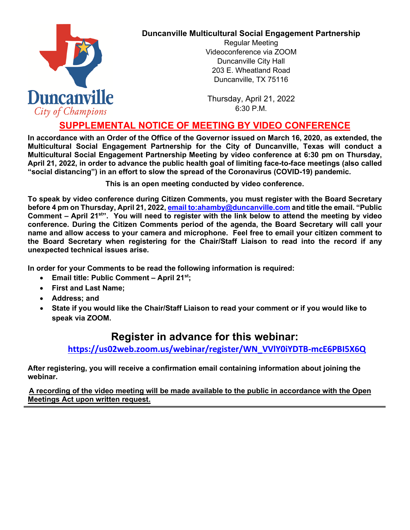

## **Duncanville Multicultural Social Engagement Partnership**

Regular Meeting Videoconference via ZOOM Duncanville City Hall 203 E. Wheatland Road Duncanville, TX 75116

Thursday, April 21, 2022  $6:30$  P M.

## **SUPPLEMENTAL NOTICE OF MEETING BY VIDEO CONFERENCE**

**In accordance with an Order of the Office of the Governor issued on March 16, 2020, as extended, the Multicultural Social Engagement Partnership for the City of Duncanville, Texas will conduct a Multicultural Social Engagement Partnership Meeting by video conference at 6:30 pm on Thursday, April 21, 2022, in order to advance the public health goal of limiting face-to-face meetings (also called "social distancing") in an effort to slow the spread of the Coronavirus (COVID-19) pandemic.** 

**This is an open meeting conducted by video conference.**

**To speak by video conference during Citizen Comments, you must register with the Board Secretary before 4 pm on Thursday, April 21, 2022[, email to:ahamby@duncanville.com](mailto:ahamby@duncanville.com) and title the email. "Public Comment – April 21st". You will need to register with the link below to attend the meeting by video conference. During the Citizen Comments period of the agenda, the Board Secretary will call your name and allow access to your camera and microphone. Feel free to email your citizen comment to the Board Secretary when registering for the Chair/Staff Liaison to read into the record if any unexpected technical issues arise.**

**In order for your Comments to be read the following information is required:**

- **Email title: Public Comment April 21st;**
- **First and Last Name;**
- **Address; and**
- **State if you would like the Chair/Staff Liaison to read your comment or if you would like to speak via ZOOM.**

## **Register in advance for this webinar:**

**[https://us02web.zoom.us/webinar/register/WN\\_VVlY0iYDTB-mcE6PBI5X6Q](https://us02web.zoom.us/webinar/register/WN_VVlY0iYDTB-mcE6PBI5X6Q)**

**After registering, you will receive a confirmation email containing information about joining the webinar.** 

**A recording of the video meeting will be made available to the public in accordance with the Open Meetings Act upon written request.**